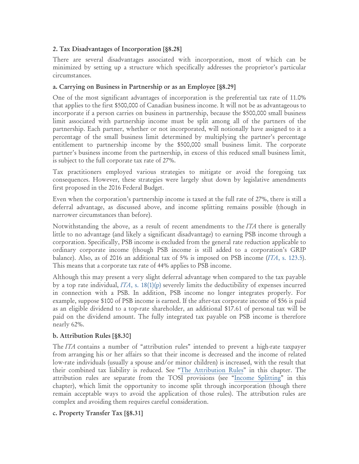## 2. Tax Disadvantages of Incorporation [**§**8.28]

There are several disadvantages associated with incorporation, most of which can be minimized by setting up a structure which specifically addresses the proprietor's particular circumstances.

## a. Carrying on Business in Partnership or as an Employee [**§**8.29]

One of the most significant advantages of incorporation is the preferential tax rate of 11.0% that applies to the first \$500,000 of Canadian business income. It will not be as advantageous to incorporate if a person carries on business in partnership, because the \$500,000 small business limit associated with partnership income must be split among all of the partners of the partnership. Each partner, whether or not incorporated, will notionally have assigned to it a percentage of the small business limit determined by multiplying the partner's percentage entitlement to partnership income by the \$500,000 small business limit. The corporate partner's business income from the partnership, in excess of this reduced small business limit, is subject to the full corporate tax rate of 27%.

Tax practitioners employed various strategies to mitigate or avoid the foregoing tax consequences. However, these strategies were largely shut down by legislative amendments first proposed in the 2016 Federal Budget.

Even when the corporation's partnership income is taxed at the full rate of 27%, there is still a deferral advantage, as discussed above, and income splitting remains possible (though in narrower circumstances than before).

Notwithstanding the above, as a result of recent amendments to the *ITA* there is generally little to no advantage (and likely a significant disadvantage) to earning PSB income through a corporation. Specifically, PSB income is excluded from the general rate reduction applicable to ordinary corporate income (though PSB income is still added to a corporation's GRIP balance). Also, as of 2016 an additional tax of 5% is imposed on PSB income (*ITA*[, s. 123.5\)](http://canlii.ca/t/52hdp). This means that a corporate tax rate of 44% applies to PSB income.

Although this may present a very slight deferral advantage when compared to the tax payable by a top rate individual, *ITA*, [s. 18\(1\)\(p\)](http://canlii.ca/t/52hdp) severely limits the deductibility of expenses incurred in connection with a PSB. In addition, PSB income no longer integrates properly. For example, suppose \$100 of PSB income is earned. If the after-tax corporate income of \$56 is paid as an eligible dividend to a top-rate shareholder, an additional \$17.61 of personal tax will be paid on the dividend amount. The fully integrated tax payable on PSB income is therefore nearly 62%.

## b. Attribution Rules [**§**8.30]

The *ITA* contains a number of "attribution rules" intended to prevent a high-rate taxpayer from arranging his or her affairs so that their income is decreased and the income of related low-rate individuals (usually a spouse and/or minor children) is increased, with the result that their combined tax liability is reduced. See ["The Attribution Rules"](http://pm.staging.cle.bc.ca/clebc-pm-web/manual/42825/book/view.do%23/C/1754942) in this chapter. The attribution rules are separate from the TOSI provisions (see ["Income Splitting"](http://pm.staging.cle.bc.ca/clebc-pm-web/manual/42825/book/view.do%23/C/1754920) in this chapter), which limit the opportunity to income split through incorporation (though there remain acceptable ways to avoid the application of those rules). The attribution rules are complex and avoiding them requires careful consideration.

## c. Property Transfer Tax [**§**8.31]